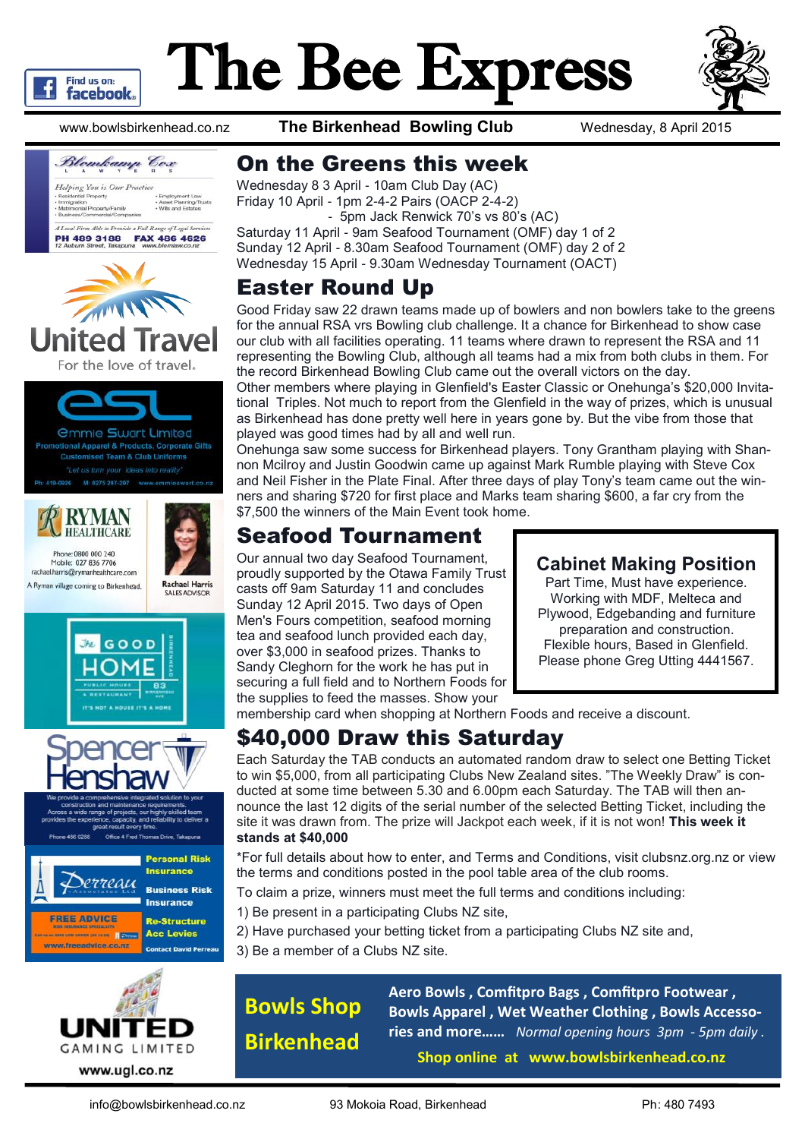

# The Bee Express



www.bowlsbirkenhead.co.nz **The Birkenhead Bowling Club** Wednesday, 8 April 2015



*<u>Ommie Swart Limited</u>* onal Apparel & Products, Corporate Gifts **Customised Team & Club Uniforms** 



Phone: 0800 000 240



**Rachael Harris** 

**SALES ADVISC** 

Mobile: 027 836 7706 rachael.harris@rymanhealthcare.com A Ryman village coming to Birkenhead.





Office 4 Fred Thomas Drive, Takap





# On the Greens this week

Wednesday 8 3 April - 10am Club Day (AC) Friday 10 April - 1pm 2-4-2 Pairs (OACP 2-4-2)

 - 5pm Jack Renwick 70's vs 80's (AC) Saturday 11 April - 9am Seafood Tournament (OMF) day 1 of 2 Sunday 12 April - 8.30am Seafood Tournament (OMF) day 2 of 2 Wednesday 15 April - 9.30am Wednesday Tournament (OACT)

## Easter Round Up

Good Friday saw 22 drawn teams made up of bowlers and non bowlers take to the greens for the annual RSA vrs Bowling club challenge. It a chance for Birkenhead to show case our club with all facilities operating. 11 teams where drawn to represent the RSA and 11 representing the Bowling Club, although all teams had a mix from both clubs in them. For the record Birkenhead Bowling Club came out the overall victors on the day.

Other members where playing in Glenfield's Easter Classic or Onehunga's \$20,000 Invitational Triples. Not much to report from the Glenfield in the way of prizes, which is unusual as Birkenhead has done pretty well here in years gone by. But the vibe from those that played was good times had by all and well run.

Onehunga saw some success for Birkenhead players. Tony Grantham playing with [Shan](https://www.bowlsnz.co.nz/Category?Action=View&Category_id=1167)[non Mcilroy a](https://www.bowlsnz.co.nz/Category?Action=View&Category_id=1167)nd Justin Goodwin came up against Mark Rumble playing with Steve Cox and Neil Fisher in the Plate Final. After three days of play Tony's team came out the winners and sharing \$720 for first place and Marks team sharing \$600, a far cry from the \$7,500 the winners of the Main Event took home.

# Seafood Tournament

Our annual two day Seafood Tournament, proudly supported by the Otawa Family Trust casts off 9am Saturday 11 and concludes Sunday 12 April 2015. Two days of Open Men's Fours competition, seafood morning tea and seafood lunch provided each day, over \$3,000 in seafood prizes. Thanks to Sandy Cleghorn for the work he has put in securing a full field and to Northern Foods for the supplies to feed the masses. Show your

#### **Cabinet Making Position**

Part Time, Must have experience. Working with MDF, Melteca and Plywood, Edgebanding and furniture preparation and construction. Flexible hours, Based in Glenfield. Please phone Greg Utting 4441567.

membership card when shopping at Northern Foods and receive a discount.

# \$40,000 Draw this Saturday

Each Saturday the TAB conducts an automated random draw to select one Betting Ticket to win \$5,000, from all participating Clubs New Zealand sites. "The Weekly Draw" is conducted at some time between 5.30 and 6.00pm each Saturday. The TAB will then announce the last 12 digits of the serial number of the selected Betting Ticket, including the site it was drawn from. The prize will Jackpot each week, if it is not won! **This week it stands at \$40,000**

\*For full details about how to enter, and Terms and Conditions, visit clubsnz.org.nz or view the terms and conditions posted in the pool table area of the club rooms.

To claim a prize, winners must meet the full terms and conditions including:

- 1) Be present in a participating Clubs NZ site,
- 2) Have purchased your betting ticket from a participating Clubs NZ site and,
- 3) Be a member of a Clubs NZ site.

# **Bowls Shop Birkenhead**

**Aero Bowls , Comfitpro Bags , Comfitpro Footwear , Bowls Apparel , Wet Weather Clothing , Bowls Accessories and more……** *Normal opening hours 3pm - 5pm daily .*

**Shop online at www.bowlsbirkenhead.co.nz**